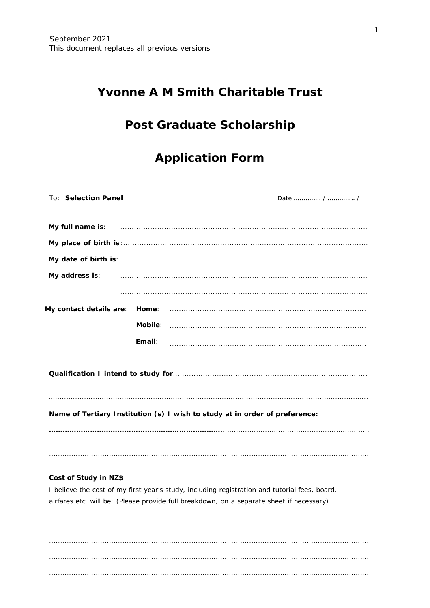## **Yvonne A M Smith Charitable Trust**

# Post Graduate Scholarship

# **Application Form**

| To: Selection Panel |        |                                                                                                                                                                                                                                                              |  |
|---------------------|--------|--------------------------------------------------------------------------------------------------------------------------------------------------------------------------------------------------------------------------------------------------------------|--|
|                     |        |                                                                                                                                                                                                                                                              |  |
|                     |        | My full name is: www.communication.com/communications/communications/communications/                                                                                                                                                                         |  |
|                     |        |                                                                                                                                                                                                                                                              |  |
|                     |        |                                                                                                                                                                                                                                                              |  |
|                     |        | My address is: <b>My address is: My address is: My address is: My address is: My address is: My</b> and <b>My</b> address is: <b>My</b> address is: <b>My</b> address is: <b>My</b> address is: <b>My</b> address is: <b>My</b> address is: <b>My</b> addres |  |
|                     |        |                                                                                                                                                                                                                                                              |  |
|                     |        |                                                                                                                                                                                                                                                              |  |
|                     |        |                                                                                                                                                                                                                                                              |  |
|                     | Email: |                                                                                                                                                                                                                                                              |  |
|                     |        |                                                                                                                                                                                                                                                              |  |
|                     |        | Name of Tertiary Institution (s) I wish to study at in order of preference:                                                                                                                                                                                  |  |
|                     |        |                                                                                                                                                                                                                                                              |  |
|                     |        |                                                                                                                                                                                                                                                              |  |

### Cost of Study in NZ\$

I believe the cost of my first year's study, including registration and tutorial fees, board, airfares etc. will be: (Please provide full breakdown, on a separate sheet if necessary)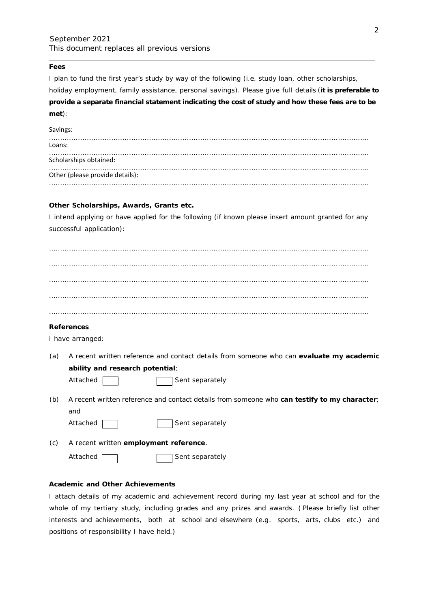### **Fees**

I plan to fund the first year's study by way of the following (i.e. study loan, other scholarships,

holiday employment, family assistance, personal savings). Please give full details (**it is preferable to provide a separate financial statement indicating the cost of study and how these fees are to be met**):

#### Savings:

| Loans:                          |  |  |  |
|---------------------------------|--|--|--|
| Scholarships obtained:          |  |  |  |
| Other (please provide details): |  |  |  |
|                                 |  |  |  |

#### **Other Scholarships, Awards, Grants etc.**

I intend applying or have applied for the following (if known please insert amount granted for any successful application):

### **References**

I have arranged:

(a) A recent written reference and contact details from someone who can **evaluate my academic ability and research potential**;

Sent separately

(b) A recent written reference and contact details from someone who **can testify to my character**; and



(c) A recent written **employment reference**.

Attached | Research Sent separately

#### **Academic and Other Achievements**

I attach details of my academic and achievement record during my last year at school and for the whole of my tertiary study, including grades and any prizes and awards. ( *Please briefly list other interests and achievements, both at school and elsewhere (e.g. sports, arts, clubs etc.) and positions of responsibility I have held.*)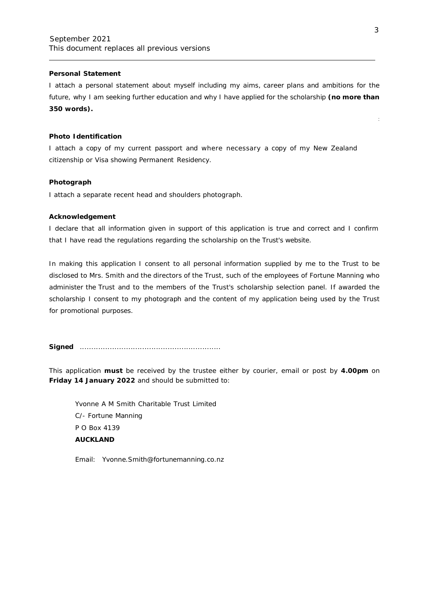### **Personal Statement**

I attach a personal statement about myself including my aims, career plans and ambitions for the future, why I am seeking further education and why I have applied for the scholarship **(no more than 350 words).**

### **Photo Identification**

I attach a copy of my current passport and where necessary a copy of my New Zealand citizenship or Visa showing Permanent Residency.

#### **Photograph**

I attach a separate recent head and shoulders photograph.

### **Acknowledgement**

I declare that all information given in support of this application is true and correct and I confirm that I have read the regulations regarding the scholarship on the Trust's website.

In making this application I consent to all personal information supplied by me to the Trust to be disclosed to Mrs. Smith and the directors of the Trust, such of the employees of Fortune Manning who administer the Trust and to the members of the Trust's scholarship selection panel. If awarded the scholarship I consent to my photograph and the content of my application being used by the Trust for promotional purposes.

**Signed** .............................................................

This application **must** be received by the trustee either by courier, email or post by **4.00pm** on **Friday 14 January 2022** and should be submitted to:

Yvonne A M Smith Charitable Trust Limited C/- Fortune Manning P O Box 4139 **AUCKLAND**

Email: [Yvonne.Smith@fortunemanning.co.nz](mailto:Yvonne.Smith@fortunemanning.co.nz)

: